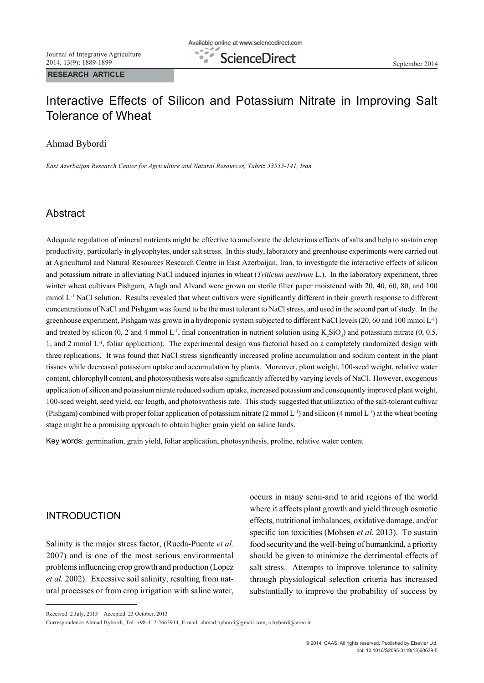**RESEARCH ARTICLE**

# Interactive Effects of Silicon and Potassium Nitrate in Improving Salt Tolerance of Wheat

## Ahmad Bybordi

*East Azerbaijan Research Center for Agriculture and Natural Resources, Tabriz 53555-141, Iran*

## Abstract

Adequate regulation of mineral nutrients might be effective to ameliorate the deleterious effects of salts and help to sustain crop productivity, particularly in glycophytes, under salt stress. In this study, laboratory and greenhouse experiments were carried out at Agricultural and Natural Resources Research Centre in East Azerbaijan, Iran, to investigate the interactive effects of silicon and potassium nitrate in alleviating NaCl induced injuries in wheat (*Triticum aestivum* L.). In the laboratory experiment, three winter wheat cultivars Pishgam, Afagh and Alvand were grown on sterile filter paper moistened with 20, 40, 60, 80, and 100 mmol L-1 NaCl solution. Results revealed that wheat cultivars were significantly different in their growth response to different concentrations of NaCl and Pishgam was found to be the most tolerant to NaCl stress, and used in the second part of study. In the greenhouse experiment, Pishgam was grown in a hydroponic system subjected to different NaCl levels (20, 60 and 100 mmol L-1) and treated by silicon (0, 2 and 4 mmol L<sup>-1</sup>, final concentration in nutrient solution using  $K_2SiO_3$ ) and potassium nitrate (0, 0.5, 1, and 2 mmol  $L<sup>1</sup>$ , foliar application). The experimental design was factorial based on a completely randomized design with three replications. It was found that NaCl stress significantly increased proline accumulation and sodium content in the plant tissues while decreased potassium uptake and accumulation by plants. Moreover, plant weight, 100-seed weight, relative water content, chlorophyll content, and photosynthesis were also significantly affected by varying levels of NaCl. However, exogenous application of silicon and potassium nitrate reduced sodium uptake, increased potassium and consequently improved plant weight, 100-seed weight, seed yield, ear length, and photosynthesis rate. This study suggested that utilization of the salt-tolerant cultivar (Pishgam) combined with proper foliar application of potassium nitrate (2 mmol L<sup>-1</sup>) and silicon (4 mmol L<sup>-1</sup>) at the wheat booting stage might be a promising approach to obtain higher grain yield on saline lands.

Key words: germination, grain yield, foliar application, photosynthesis, proline, relative water content

## INTRODUCTION

Salinity is the major stress factor, (Rueda-Puente *et al.* 2007) and is one of the most serious environmental problems influencing crop growth and production (Lopez *et al.* 2002). Excessive soil salinity, resulting from natural processes or from crop irrigation with saline water, occurs in many semi-arid to arid regions of the world where it affects plant growth and yield through osmotic effects, nutritional imbalances, oxidative damage, and/or specific ion toxicities (Mohsen *et al*. 2013). To sustain food security and the well-being of humankind, a priority should be given to minimize the detrimental effects of salt stress. Attempts to improve tolerance to salinity through physiological selection criteria has increased substantially to improve the probability of success by

Received 2 July, 2013 Accepted 23 October, 2013

Correspondence Ahmad Bybordi, Tel: +98-412-2663914, E-mail: ahmad.bybordi@gmail.com, a.bybordi@areo.ir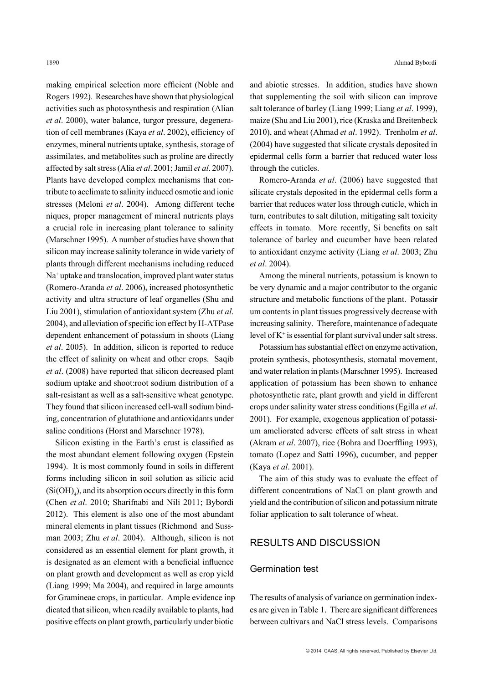making empirical selection more efficient (Noble and Rogers 1992). Researches have shown that physiological activities such as photosynthesis and respiration (Alian *et al*. 2000), water balance, turgor pressure, degeneration of cell membranes (Kaya *et al*. 2002), efficiency of enzymes, mineral nutrients uptake, synthesis, storage of assimilates, and metabolites such as proline are directly affected by salt stress (Alia *et al*. 2001; Jamil *et al*. 2007). Plants have developed complex mechanisms that contribute to acclimate to salinity induced osmotic and ionic stresses (Meloni *et al*. 2004). Among different techeniques, proper management of mineral nutrients plays a crucial role in increasing plant tolerance to salinity (Marschner 1995). A number of studies have shown that silicon may increase salinity tolerance in wide variety of plants through different mechanisms including reduced Na+ uptake and translocation, improved plant water status (Romero-Aranda *et al*. 2006), increased photosynthetic activity and ultra structure of leaf organelles (Shu and Liu 2001), stimulation of antioxidant system (Zhu *et al*. 2004), and alleviation of specific ion effect by H-ATPase dependent enhancement of potassium in shoots (Liang *et al*. 2005). In addition, silicon is reported to reduce the effect of salinity on wheat and other crops. Saqib *et al*. (2008) have reported that silicon decreased plant sodium uptake and shoot:root sodium distribution of a salt-resistant as well as a salt-sensitive wheat genotype. They found that silicon increased cell-wall sodium bind ing, concentration of glutathione and antioxidants under saline conditions (Horst and Marschner 1978).

Silicon existing in the Earth's crust is classified as the most abundant element following oxygen (Epstein 1994). It is most commonly found in soils in different forms including silicon in soil solution as silicic acid  $(Si(OH)<sub>4</sub>)$ , and its absorption occurs directly in this form (Chen *et al*. 2010; Sharifnabi and Nili 2011; Bybordi 2012). This element is also one of the most abundant mineral elements in plant tissues (Richmond and Sussman 2003; Zhu *et al*. 2004). Although, silicon is not considered as an essential element for plant growth, it is designated as an element with a beneficial influence on plant growth and development as well as crop yield (Liang 1999; Ma 2004), and required in large amounts for Gramineae crops, in particular. Ample evidence inpdicated that silicon, when readily available to plants, had positive effects on plant growth, particularly under biotic

and abiotic stresses. In addition, studies have shown that supplementing the soil with silicon can improve salt tolerance of barley (Liang 1999; Liang *et al*. 1999), maize (Shu and Liu 2001), rice (Kraska and Breitenbeck 2010), and wheat (Ahmad *et al*. 1992). Trenholm *et al*. (2004) have suggested that silicate crystals deposited in epidermal cells form a barrier that reduced water loss through the cuticles.

Romero-Aranda *et al*. (2006) have suggested that silicate crystals deposited in the epidermal cells form a barrier that reduces water loss through cuticle, which in turn, contributes to salt dilution, mitigating salt toxicity effects in tomato. More recently, Si benefits on salt tolerance of barley and cucumber have been related to antioxidant enzyme activity (Liang *et al*. 2003; Zhu *et al*. 2004).

Among the mineral nutrients, potassium is known to be very dynamic and a major contributor to the organic structure and metabolic functions of the plant. Potassirum contents in plant tissues progressively decrease with increasing salinity. Therefore, maintenance of adequate level of  $K^+$  is essential for plant survival under salt stress.

Potassium has substantial effect on enzyme activation, protein synthesis, photosynthesis, stomatal movement, and water relation in plants (Marschner 1995). Increased application of potassium has been shown to enhance photosynthetic rate, plant growth and yield in different crops under salinity water stress conditions (Egilla *et al*. 2001). For example, exogenous application of potassi um ameliorated adverse effects of salt stress in wheat (Akram *et al*. 2007), rice (Bohra and Doerffling 1993), tomato (Lopez and Satti 1996), cucumber, and pepper (Kaya *et al*. 2001).

The aim of this study was to evaluate the effect of different concentrations of NaCl on plant growth and yield and the contribution of silicon and potassium nitrate foliar application to salt tolerance of wheat.

## RESULTS AND DISCUSSION

#### Germination test

The results of analysis of variance on germination indexes are given in Table 1. There are significant differences between cultivars and NaCl stress levels. Comparisons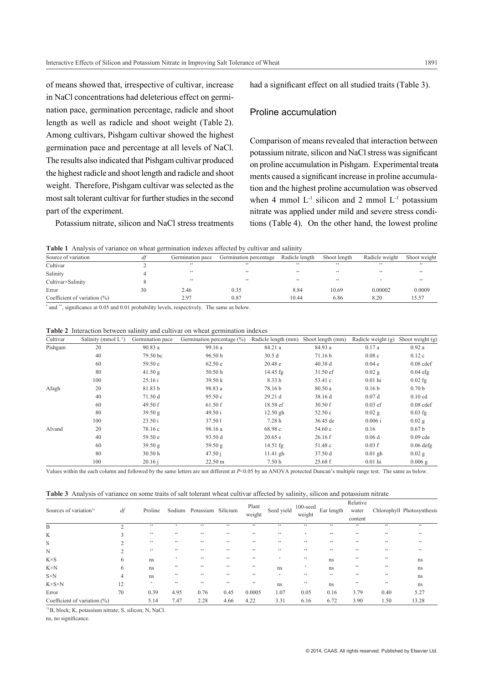of means showed that, irrespective of cultivar, increase in NaCl concentrations had deleterious effect on germination pace, germination percentage, radicle and shoot length as well as radicle and shoot weight (Table 2). Among cultivars, Pishgam cultivar showed the highest germination pace and percentage at all levels of NaCl. The results also indicated that Pishgam cultivar produced the highest radicle and shoot length and radicle and shoot weight. Therefore, Pishgam cultivar was selected as the most salt tolerant cultivar for further studies in the second part of the experiment.

Potassium nitrate, silicon and NaCl stress treatments

had a significant effect on all studied traits (Table 3).

## Proline accumulation

Comparison of means revealed that interaction between potassium nitrate, silicon and NaCl stress was significant on proline accumulation in Pishgam. Experimental treataments caused a significant increase in proline accumulation and the highest proline accumulation was observed when 4 mmol  $L^{-1}$  silicon and 2 mmol  $L^{-1}$  potassium nitrate was applied under mild and severe stress conditions (Table 4). On the other hand, the lowest proline

**Table 1** Analysis of variance on wheat germination indexes affected by cultivar and salinity

| Source of variation             | a1 | Germination pace | Germination percentage | Radicle length | Shoot length | Radicle weight | Shoot weight |  |  |  |  |  |  |
|---------------------------------|----|------------------|------------------------|----------------|--------------|----------------|--------------|--|--|--|--|--|--|
| Cultivar                        |    | **               | **                     | **             | **           | <b>SK</b>      | **           |  |  |  |  |  |  |
| Salinity                        |    | **               | **                     | **             | **           | <b>SK</b>      | **           |  |  |  |  |  |  |
| Cultivar×Salinity               |    | **               | **                     | **             | **           |                | **           |  |  |  |  |  |  |
| Error                           | 30 | 2.46             | 0.35                   | 8.84           | 10.69        | 0.00002        | 0.0009       |  |  |  |  |  |  |
| Coefficient of variation $(\%)$ |    | 2.97             | 0.87                   | 10.44          | 6.86         | 8.20           | 15.57        |  |  |  |  |  |  |
|                                 |    | .                | .                      |                |              |                |              |  |  |  |  |  |  |

\* and \*\*, significance at 0.05 and 0.01 probability levels, respectively. The same as below.

|  |  |  |  |  |  |  | <b>Table 2</b> Interaction between salinity and cultivar on wheat germination indexes |  |
|--|--|--|--|--|--|--|---------------------------------------------------------------------------------------|--|
|--|--|--|--|--|--|--|---------------------------------------------------------------------------------------|--|

| Cultivar | Salinity (mmol $L^{-1}$ ) | Germination pace | Germination percentage (%) | Radicle length (mm) | Shoot length (mm) | Radicle weight $(g)$ | Shoot weight $(g)$ |
|----------|---------------------------|------------------|----------------------------|---------------------|-------------------|----------------------|--------------------|
| Pishgam  | 20                        | 90.83 a          | 99.16 a                    | 84.21 a             | 84.93 a           | 0.17a                | 0.92a              |
|          | 40                        | 79.50 bc         | 96.50 <sub>b</sub>         | 30.5d               | 71.16 b           | 0.08c                | 0.12c              |
|          | 60                        | 59.50 e          | 62.50 e                    | 20.48 e             | 40.38 d           | 0.04e                | $0.08$ cdef        |
|          | 80                        | 41.50 g          | 50.50 h                    | $14.45$ fg          | 31.50 ef          | $0.02$ g             | $0.04$ efg         |
|          | 100                       | 25.16i           | 39.50 k                    | 8.33h               | 53.41 c           | $0.01$ hi            | $0.02$ fg          |
| Afagh    | 20                        | 81.83 b          | 98.83 a                    | 78.16 b             | 80.50 a           | 0.16 <sub>b</sub>    | 0.70 <sub>b</sub>  |
|          | 40                        | 71.50 d          | 95.50 c                    | 29.21 d             | 38.16 d           | 0.07d                | $0.10$ cd          |
|          | 60                        | 49.50 f          | 61.50 f                    | 18.58 ef            | 30.50 f           | $0.03$ ef            | $0.08$ cdef        |
|          | 80                        | 39.50 g          | 49.50 i                    | $12.50$ gh          | 52.50c            | $0.02$ g             | $0.03$ fg          |
|          | 100                       | 23.50 i          | 37.501                     | 7.28h               | 36.45 de          | 0.006 i              | $0.02$ g           |
| Alvand   | 20                        | 78.16 c          | 98.16 a                    | 68.98 c             | 54.60c            | 0.16                 | 0.67 <sub>b</sub>  |
|          | 40                        | 59.50 e          | 93.50 d                    | 20.65 e             | 26.16f            | 0.06d                | $0.09$ cde         |
|          | 60                        | 39.50 g          | 59.50 g                    | $14.51$ fg          | 51.48 c           | 0.03 f               | $0.06$ defg        |
|          | 80                        | 30.50 h          | 47.50j                     | $11.41$ gh          | 37.50 d           | $0.01$ gh            | $0.02$ g           |
|          | 100                       | 20.16 i          | 22.50 m                    | 7.50h               | 25.68 f           | $0.01$ hi            | $0.006$ g          |

Values within the each column and followed by the same letters are not different at *P*<0.05 by an ANOVA protected Duncan's multiple range test. The same as below.

| Table 3 Analysis of variance on some traits of salt tolerant wheat cultivar affected by salinity, silicon and potassium nitrate |  |
|---------------------------------------------------------------------------------------------------------------------------------|--|
|---------------------------------------------------------------------------------------------------------------------------------|--|

|                                    |          |         | Sodium |                    |      | Plant  | Seed yield | $100$ -seed<br>weight |            | Relative |      | Chlorophyll Photosynthesis |
|------------------------------------|----------|---------|--------|--------------------|------|--------|------------|-----------------------|------------|----------|------|----------------------------|
| Sources of variation <sup>1)</sup> | df       | Proline |        | Potassium Silicium |      | weight |            |                       | Ear length | water    |      |                            |
|                                    |          |         |        |                    |      |        |            |                       |            | content  |      |                            |
| B                                  | $\Delta$ | **      | ×      | **                 | **   | 88     | **         | **                    | **         | **       | **   | 88                         |
| K                                  |          | $**$    | **     | **                 | **   | 88     | **         | *                     | **         | 88       | **   | 88                         |
| S                                  |          | **      | **     | **                 | **   | 88     | **         | **                    | **         | 88       | **   | 88                         |
| N                                  |          | **      | **     | **                 | **   | 88     | **         | **                    | **         | 88       | **   | 88                         |
| $K \times S$                       | 6        | ns      |        | **                 | **   | 88     |            | **                    | ns         | **       | **   | ns                         |
| $K \times N$                       | 6        | ns      | **     | **                 | **   | 88     | ns         |                       | ns         | **       | **   | ns                         |
| $S\times N$                        | 4        | ns      | **     | **                 | **   | 88     |            | **                    | **         | **       | **   | ns                         |
| $K \times S \times N$              | 12       | $\star$ | **     | **                 | **   | 88     | ns         | **                    | ns         | **       | **   | ns                         |
| Error                              | 70       | 0.39    | 4.95   | 0.76               | 0.45 | 0.0005 | 1.07       | 0.05                  | 0.16       | 3.79     | 0.40 | 5.27                       |
| Coefficient of variation $(\%)$    |          | 5.14    | 7.47   | 2.28               | 4.66 | 4.22   | 3.31       | 6.16                  | 6.72       | 3.90     | 1.50 | 13.28                      |

<sup>1)</sup> B, block; K, potassium nitrate; S, silicon; N, NaCl.

ns, no significance.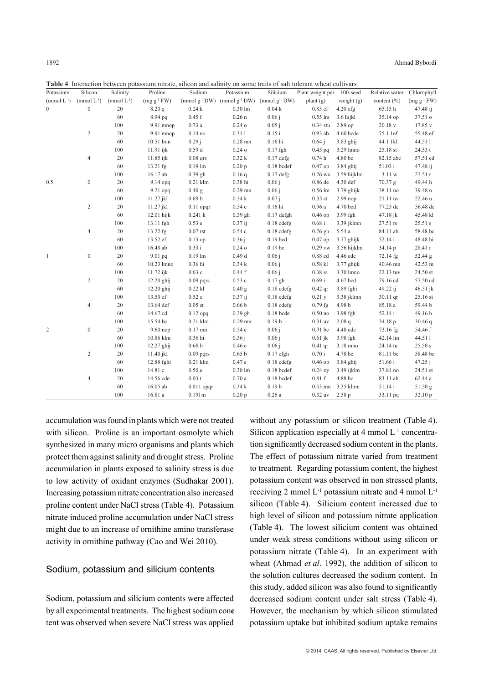| Potassium        | Silicon          | Salinity        | Proline          | <b>Table 4</b> Thieraction between potassium muate, sincon and samily on some traits of sait tolerant wheat cultivals<br>Sodium | Potassium                                                | Silicium           | Plant weight per 100-seed |              | Relative water  | Chlorophyll       |
|------------------|------------------|-----------------|------------------|---------------------------------------------------------------------------------------------------------------------------------|----------------------------------------------------------|--------------------|---------------------------|--------------|-----------------|-------------------|
| $(mmol L^{-1})$  | $(mmol L^{-1})$  | $(mmol L^{-1})$ | $(mg g^{-1} FW)$ |                                                                                                                                 | (mmol $g^{-1}DW$ ) (mmol $g^{-1}DW$ ) (mmol $g^{-1}DW$ ) |                    | plant(g)                  | weight $(g)$ | content $(\% )$ | $(mg g^{-1} F W)$ |
| $\boldsymbol{0}$ | $\boldsymbol{0}$ | 20              | 8.20q            | 0.24k                                                                                                                           | $0.30 \text{ lm}$                                        | 0.04k              | 0.83 ef                   | $4.20$ efg   | 65.15h          | 47.48 ij          |
|                  |                  | 60              | 8.94 pq          | 0.45 f                                                                                                                          | 0.26n                                                    | 0.06 i             | $0.55 \text{ lm}$         | 3.6 hijkl    | 35.14 op        | 37.51 o           |
|                  |                  | 100             | 9.91 mnop        | 0.73a                                                                                                                           | $0.24$ o                                                 | 0.05 i             | $0.34$ stu                | 2.89 op      | 20.18v          | 17.85 v           |
|                  | $\overline{c}$   | 20              | 9.91 mnop        | $0.14$ no                                                                                                                       | 0.311                                                    | $0.15$ i           | $0.93$ ab                 | 4.60 bcde    | 75.1 1ef        | 55.48 ef          |
|                  |                  | 60              | 10.51 lmn        | 0.29 i                                                                                                                          | $0.28$ mn                                                | $0.16$ hi          | 0.64 i                    | $3.83$ ghij  | 44.1 1kl        | 44.511            |
|                  |                  | 100             | $11.91$ ijk      | 0.59d                                                                                                                           | 0.24 <sub>o</sub>                                        | $0.17$ fgh         | $0.45$ pq                 | 3.29 lmno    | 25.18 st        | 24.33 t           |
|                  | $\overline{4}$   | 20              | 11.85 ijk        | $0.08$ qrs                                                                                                                      | 0.32k                                                    | $0.17$ defg        | 0.74h                     | 4.80 bc      | 82.15 abc       | 57.51 cd          |
|                  |                  | 60              | 13.21 fg         | $0.19$ lm                                                                                                                       | 0.20 p                                                   | $0.18$ bcdef       | $0.47$ op                 | $3.84$ ghij  | 51.03 i         | 47.48 ij          |
|                  |                  |                 |                  |                                                                                                                                 |                                                          |                    |                           |              |                 |                   |
|                  |                  | 100             | 16.17 ab         | $0.39$ gh                                                                                                                       | 0.16q                                                    | $0.17$ defg        | $0.26$ wx                 | 3.59 hijklm  | 3.11 w          | 27.51 r           |
| 0.5              | $\boldsymbol{0}$ | 20              | 9.14 opq         | $0.21$ klm                                                                                                                      | $0.38$ hi                                                | 0.06 i             | 0.86 de                   | 4.30 def     | 70.37 g         | 49.44 h           |
|                  |                  | 60              | 9.21 opq         | 0.40 <sub>g</sub>                                                                                                               | $0.29$ mn                                                | 0.06 i             | $0.56 \text{ lm}$         | $3.79$ ghijk | 38.11 no        | 39.48 n           |
|                  |                  | 100             | 11.27 jkl        | 0.69 <sub>b</sub>                                                                                                               | 0.34k                                                    | 0.07 i             | $0.35$ st                 | $2.99$ nop   | 21.11 uv        | 22.46 u           |
|                  | $\overline{c}$   | 20              | 11.27 jkl        | $0.11$ opqr                                                                                                                     | 0.54c                                                    | $0.16$ hi          | 0.96a                     | 4.70 bcd     | 77.25 de        | 56.48 de          |
|                  |                  | 60              | $12.01$ hijk     | 0.241 k                                                                                                                         | $0.39$ gh                                                | $0.17$ defgh       | $0.46$ op                 | 3.99 fgh     | $47.18$ jk      | 45.48 kl          |
|                  |                  | 100             | 13.11 fgh        | 0.53e                                                                                                                           | 0.37 i j                                                 | $0.18$ cdefg       | 0.68 i                    | 3.39 jklmn   | 27.51 rs        | 25.51 s           |
|                  | $\overline{4}$   | 20              | 13.22 fg         | $0.07$ rst                                                                                                                      | 0.54c                                                    | $0.18$ cdefg       | $0.76$ gh                 | 5.54 a       | 84.11 ab        | 58.48 bc          |
|                  |                  | 60              | 13.52 ef         | $0.13$ op                                                                                                                       | 0.36 i                                                   | $0.19$ bcd         | $0.47$ op                 | $3.77$ ghijk | 52.14 i         | 48.48 hi          |
|                  |                  | 100             | 16.48 ab         | 0.33 i                                                                                                                          | 0.24 <sub>o</sub>                                        | 0.19 <sub>bc</sub> | $0.29$ vw                 | 3.56 hijklm  | 34.14 p         | 28.41 r           |
| $\mathbf{1}$     | $\boldsymbol{0}$ | 20              | 9.01 pq          | $0.19$ lm                                                                                                                       | 0.49d                                                    | 0.06 i             | 0.88 cd                   | 4.46 cde     | 72.14 fg        | 52.44 g           |
|                  |                  | 60              | 10.23 lmno       | $0.36$ hi                                                                                                                       | 0.34k                                                    | 0.06 i             | $0.58$ kl                 | $3.77$ ghijk | 40.46 mn        | 42.53 m           |
|                  |                  | 100             | 11.72 ijk        | 0.63c                                                                                                                           | 0.44f                                                    | 0.06 i             | $0.38$ rs                 | 3.30 lmno    | 22.13 tuv       | 24.50 st          |
|                  | $\sqrt{2}$       | 20              | $12.20$ ghij     | $0.09$ pqrs                                                                                                                     | 0.53c                                                    | $0.17$ gh          | $0.69$ i                  | 4.67 bcd     | 79.16 cd        | 57.50 cd          |
|                  |                  | 60              | 12.20 ghij       | $0.22$ kl                                                                                                                       | 0.40 <sub>g</sub>                                        | $0.18$ cdefg       | $0.42$ qr                 | 3.89 fghi    | 49.22 ij        | 46.51 jk          |
|                  |                  | 100             | 13.50 ef         | 0.52e                                                                                                                           | 0.37 i j                                                 | $0.18$ cdefg       | 0.21y                     | 3.38 jklmn   | 30.11 qr        | 25.16 st          |
|                  | $\overline{4}$   | 20              | 13.64 def        | $0.05$ st                                                                                                                       | 0.66 <sub>b</sub>                                        | $0.18$ cdefg       | $0.79$ fg                 | 4.98 b       | 85.18 a         | 59.44 b           |
|                  |                  | 60              | 14.67 cd         | $0.12$ opq                                                                                                                      | $0.39$ gh                                                | $0.18$ bcde        | $0.50$ no                 | 3.98 fgh     | 52.14i          | 49.16h            |
|                  |                  | 100             | 15.54 bc         | $0.21$ klm                                                                                                                      | $0.29$ mn                                                | 0.19 <sub>b</sub>  | $0.31$ uv                 | 2.08q        | 34.18 p         | 30.46q            |
| $\overline{c}$   | $\boldsymbol{0}$ | 20              | $9.60$ nop       | $0.17$ mn                                                                                                                       | 0.54c                                                    | 0.06 i             | 0.91 bc                   | 4.48 cde     | 73.16 fg        | 54.46 f           |
|                  |                  | 60              | 10.86 klm        | $0.36$ hi                                                                                                                       | 0.36 i                                                   | 0.06 i             | $0.61$ jk                 | 3.98 fgh     | 42.14 lm        | 44.511            |
|                  |                  | 100             | $12.27$ ghij     | 0.68 <sub>b</sub>                                                                                                               | 0.46e                                                    | 0.06 i             | $0.41$ qr                 | 3.18 mno     | 24.14 tu        | 25.50 s           |
|                  | $\overline{2}$   | 20              | $11.40$ jkl      | $0.09$ pqrs                                                                                                                     | 0.65 <sub>b</sub>                                        | $0.17$ efgh        | 0.70 i                    | 4.78 bc      | 81.11 bc        | 58.48 bc          |
|                  |                  | 60              | 12.88 fghi       | $0.21$ klm                                                                                                                      | 0.47e                                                    | $0.18$ cdefg       | $0.46$ op                 | $3.84$ ghij  | 51.66 i         | 47.25j            |
|                  |                  | 100             | 14.81 c          | 0.50e                                                                                                                           | $0.30 \text{ lm}$                                        | $0.18$ bcdef       | $0.24$ xy                 | 3.49 ijklm   | 37.81 no        | 24.51 st          |
|                  | $\overline{4}$   | 20              | 14.56 cde        | 0.03t                                                                                                                           | 0.70a                                                    | $0.18$ bcdef       | 0.81 f                    | 4.88 bc      | 83.11 ab        | 62.44 a           |
|                  |                  | 60              | 16.05 ab         | $0.011$ opqr                                                                                                                    | 0.34k                                                    | 0.19 <sub>b</sub>  | $0.53$ mn                 | 3.35 klmn    | 51.14i          | 51.50 g           |
|                  |                  | 100             | 16.81 a          | $0.191 \text{ m}$                                                                                                               | 0.20 <sub>p</sub>                                        | 0.26a              | $0.32$ uv                 | 2.58p        | 33.11 pq        | 32.10 p           |
|                  |                  |                 |                  |                                                                                                                                 |                                                          |                    |                           |              |                 |                   |

**Table 4** Interaction between potassium nitrate, silicon and salinity on some traits of salt tolerant wheat cultivars

accumulation was found in plants which were not treated with silicon. Proline is an important osmolyte which synthesized in many micro organisms and plants which protect them against salinity and drought stress. Proline accumulation in plants exposed to salinity stress is due to low activity of oxidant enzymes (Sudhakar 2001). Increasing potassium nitrate concentration also increased proline content under NaCl stress (Table 4). Potassium nitrate induced proline accumulation under NaCl stress might due to an increase of ornithine amino transferase activity in ornithine pathway (Cao and Wei 2010).

#### Sodium, potassium and silicium contents

Sodium, potassium and silicium contents were affected by all experimental treatments. The highest sodium conetent was observed when severe NaCl stress was applied

without any potassium or silicon treatment (Table 4). Silicon application especially at 4 mmol  $L<sup>-1</sup>$  concentration significantly decreased sodium content in the plants. The effect of potassium nitrate varied from treatment to treatment. Regarding potassium content, the highest potassium content was observed in non stressed plants, receiving 2 mmol L-1 potassium nitrate and 4 mmol L-1 silicon (Table 4). Silicium content increased due to high level of silicon and potassium nitrate application (Table 4). The lowest silicium content was obtained under weak stress conditions without using silicon or potassium nitrate (Table 4). In an experiment with wheat (Ahmad *et al*. 1992), the addition of silicon to the solution cultures decreased the sodium content. In this study, added silicon was also found to significantly decreased sodium content under salt stress (Table 4). However, the mechanism by which silicon stimulated potassium uptake but inhibited sodium uptake remains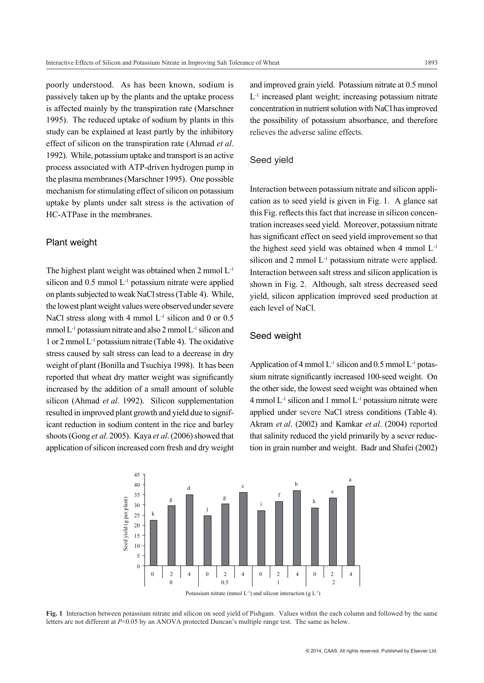poorly understood. As has been known, sodium is passively taken up by the plants and the uptake process is affected mainly by the transpiration rate (Marschner 1995). The reduced uptake of sodium by plants in this study can be explained at least partly by the inhibitory effect of silicon on the transpiration rate (Ahmad *et al*. 1992). While, potassium uptake and transport is an active process associated with ATP-driven hydrogen pump in the plasma membranes (Marschner 1995). One possible mechanism for stimulating effect of silicon on potassium uptake by plants under salt stress is the activation of HC-ATPase in the membranes.

#### Plant weight

The highest plant weight was obtained when 2 mmol L-1 silicon and  $0.5$  mmol  $L<sup>-1</sup>$  potassium nitrate were applied on plants subjected to weak NaCl stress (Table 4). While, the lowest plant weight values were observed under severe NaCl stress along with 4 mmol  $L^{-1}$  silicon and 0 or 0.5 mmol L-1 potassium nitrate and also 2 mmol L-1 silicon and 1 or 2 mmol L-1 potassium nitrate (Table 4). The oxidative stress caused by salt stress can lead to a decrease in dry weight of plant (Bonilla and Tsuchiya 1998). It has been reported that wheat dry matter weight was significantly increased by the addition of a small amount of soluble silicon (Ahmad *et al*. 1992). Silicon supplementation resulted in improved plant growth and yield due to significant reduction in sodium content in the rice and barley shoots (Gong *et al*. 2005). Kaya *et al*. (2006) showed that application of silicon increased corn fresh and dry weight and improved grain yield. Potassium nitrate at 0.5 mmol  $L<sup>-1</sup>$  increased plant weight; increasing potassium nitrate concentration in nutrient solution with NaCl has improved the possibility of potassium absorbance, and therefore relieves the adverse saline effects.

#### Seed yield

Interaction between potassium nitrate and silicon application as to seed yield is given in Fig. 1. A glance sat this Fig. reflects this fact that increase in silicon concentration increases seed yield. Moreover, potassium nitrate has significant effect on seed yield improvement so that the highest seed yield was obtained when  $4 \text{ mmol } L^{-1}$ silicon and 2 mmol L<sup>-1</sup> potassium nitrate were applied. Interaction between salt stress and silicon application is shown in Fig. 2. Although, salt stress decreased seed yield, silicon application improved seed production at each level of NaCl.

## Seed weight

Application of 4 mmol  $L^{-1}$  silicon and 0.5 mmol  $L^{-1}$  potassium nitrate significantly increased 100-seed weight. On the other side, the lowest seed weight was obtained when  $4$  mmol  $L^{-1}$  silicon and 1 mmol  $L^{-1}$  potassium nitrate were applied under severe NaCl stress conditions (Table 4). Akram *et al*. (2002) and Kamkar *et al*. (2004) reported that salinity reduced the yield primarily by a sever reduction in grain number and weight. Badr and Shafei (2002)



**Fig. 1** Interaction between potassium nitrate and silicon on seed yield of Pishgam. Values within the each column and followed by the same letters are not different at *P*<0.05 by an ANOVA protected Duncan's multiple range test. The same as below.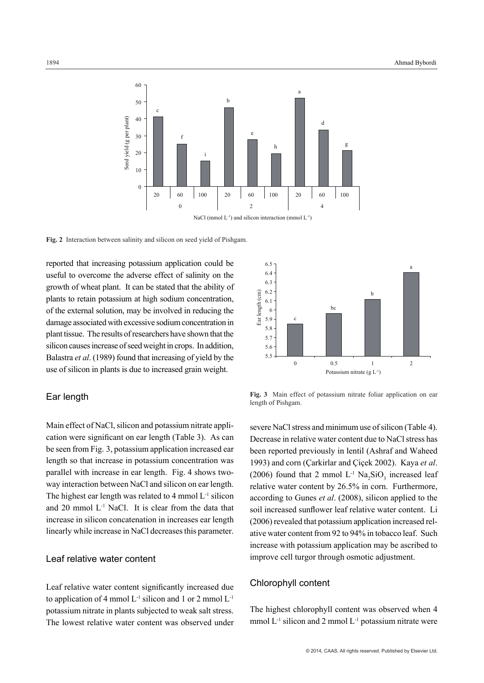

**Fig. 2** Interaction between salinity and silicon on seed yield of Pishgam.

reported that increasing potassium application could be useful to overcome the adverse effect of salinity on the growth of wheat plant. It can be stated that the ability of plants to retain potassium at high sodium concentration, of the external solution, may be involved in reducing the damage associated with excessive sodium concentration in plant tissue. The results of researchers have shown that the silicon causes increase of seed weight in crops. In addition, Balastra *et al*. (1989) found that increasing of yield by the use of silicon in plants is due to increased grain weight.

#### Ear length

Main effect of NaCl, silicon and potassium nitrate application were significant on ear length (Table 3). As can be seen from Fig. 3, potassium application increased ear length so that increase in potassium concentration was parallel with increase in ear length. Fig. 4 shows twoway interaction between NaCl and silicon on ear length. The highest ear length was related to  $4 \text{ mmol } L^{-1}$  silicon and 20 mmol L-1 NaCl. It is clear from the data that increase in silicon concatenation in increases ear length linearly while increase in NaCl decreases this parameter.

#### Leaf relative water content

Leaf relative water content significantly increased due to application of 4 mmol  $L^{-1}$  silicon and 1 or 2 mmol  $L^{-1}$ potassium nitrate in plants subjected to weak salt stress. The lowest relative water content was observed under



**Fig. 3** Main effect of potassium nitrate foliar application on ear length of Pishgam.

severe NaCl stress and minimum use of silicon (Table 4). Decrease in relative water content due to NaCl stress has been reported previously in lentil (Ashraf and Waheed 1993) and corn (Çarkirlar and Çiçek 2002). Kaya *et al*. (2006) found that 2 mmol  $L^{-1}$  Na<sub>2</sub>SiO<sub>3</sub> increased leaf relative water content by 26.5% in corn. Furthermore, according to Gunes *et al*. (2008), silicon applied to the soil increased sunflower leaf relative water content. Li (2006) revealed that potassium application increased relative water content from 92 to 94% in tobacco leaf. Such increase with potassium application may be ascribed to improve cell turgor through osmotic adjustment.

## Chlorophyll content

The highest chlorophyll content was observed when 4 mmol  $L^{-1}$  silicon and 2 mmol  $L^{-1}$  potassium nitrate were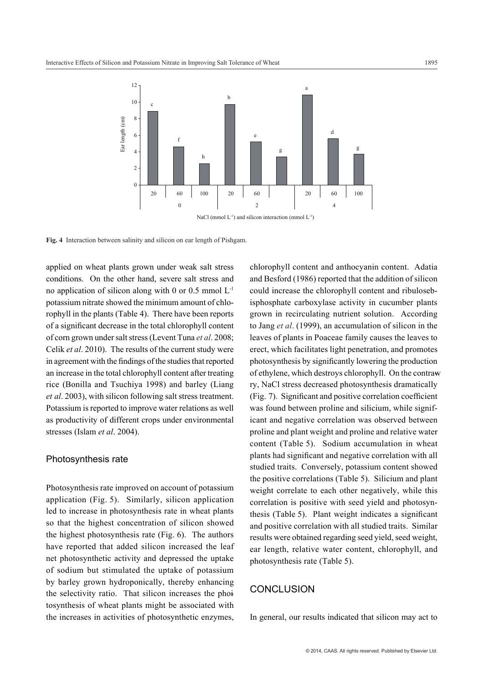

**Fig. 4** Interaction between salinity and silicon on ear length of Pishgam.

applied on wheat plants grown under weak salt stress conditions. On the other hand, severe salt stress and no application of silicon along with 0 or 0.5 mmol  $L^{-1}$ potassium nitrate showed the minimum amount of chlorophyll in the plants (Table 4). There have been reports of a significant decrease in the total chlorophyll content of corn grown under salt stress (Levent Tuna *et al*. 2008; Celik *et al*. 2010). The results of the current study were in agreement with the findings of the studies that reported an increase in the total chlorophyll content after treating rice (Bonilla and Tsuchiya 1998) and barley (Liang *et al*. 2003), with silicon following salt stress treatment. Potassium is reported to improve water relations as well as productivity of different crops under environmental stresses (Islam *et al*. 2004).

#### Photosynthesis rate

Photosynthesis rate improved on account of potassium application (Fig. 5). Similarly, silicon application led to increase in photosynthesis rate in wheat plants so that the highest concentration of silicon showed the highest photosynthesis rate (Fig. 6). The authors have reported that added silicon increased the leaf net photosynthetic activity and depressed the uptake of sodium but stimulated the uptake of potassium by barley grown hydroponically, thereby enhancing the selectivity ratio. That silicon increases the phoitosynthesis of wheat plants might be associated with the increases in activities of photosynthetic enzymes,

chlorophyll content and anthocyanin content. Adatia and Besford (1986) reported that the addition of silicon could increase the chlorophyll content and ribulosebisphosphate carboxylase activity in cucumber plants grown in recirculating nutrient solution. According to Jang *et al*. (1999), an accumulation of silicon in the leaves of plants in Poaceae family causes the leaves to erect, which facilitates light penetration, and promotes photosynthesis by significantly lowering the production of ethylene, which destroys chlorophyll. On the contrawry, NaCl stress decreased photosynthesis dramatically (Fig. 7). Significant and positive correlation coefficient was found between proline and silicium, while significant and negative correlation was observed between proline and plant weight and proline and relative water content (Table 5). Sodium accumulation in wheat plants had significant and negative correlation with all studied traits. Conversely, potassium content showed the positive correlations (Table 5). Silicium and plant weight correlate to each other negatively, while this correlation is positive with seed yield and photosynthesis (Table 5). Plant weight indicates a significant and positive correlation with all studied traits. Similar results were obtained regarding seed yield, seed weight, ear length, relative water content, chlorophyll, and photosynthesis rate (Table 5).

## **CONCLUSION**

In general, our results indicated that silicon may act to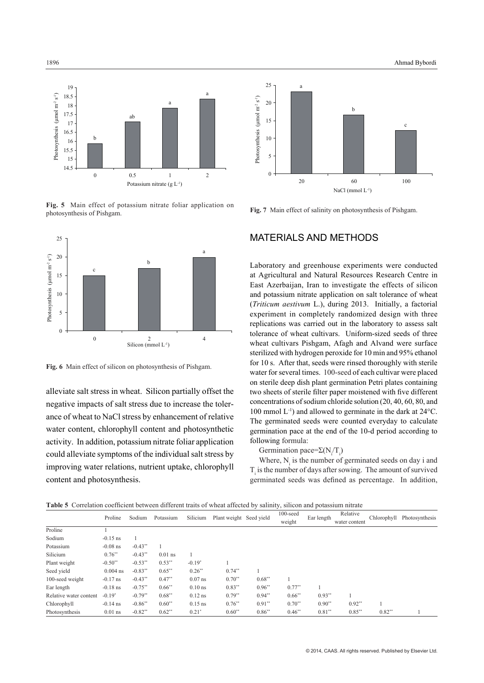

**Fig. 5** Main effect of potassium nitrate foliar application on photosynthesis of Pishgam.



**Fig. 6** Main effect of silicon on photosynthesis of Pishgam.

alleviate salt stress in wheat. Silicon partially offset the negative impacts of salt stress due to increase the tolerance of wheat to NaCl stress by enhancement of relative water content, chlorophyll content and photosynthetic activity. In addition, potassium nitrate foliar application could alleviate symptoms of the individual salt stress by improving water relations, nutrient uptake, chlorophyll content and photosynthesis.



**Fig. 7** Main effect of salinity on photosynthesis of Pishgam.

# MATERIALS AND METHODS

Laboratory and greenhouse experiments were conducted at Agricultural and Natural Resources Research Centre in East Azerbaijan, Iran to investigate the effects of silicon and potassium nitrate application on salt tolerance of wheat (*Triticum aestivum* L.), during 2013. Initially, a factorial experiment in completely randomized design with three replications was carried out in the laboratory to assess salt tolerance of wheat cultivars. Uniform-sized seeds of three wheat cultivars Pishgam, Afagh and Alvand were surface sterilized with hydrogen peroxide for 10 min and 95% ethanol for 10 s. After that, seeds were rinsed thoroughly with sterile water for several times. 100-seed of each cultivar were placed on sterile deep dish plant germination Petri plates containing two sheets of sterile filter paper moistened with five different concentrations of sodium chloride solution (20, 40, 60, 80, and 100 mmol L-1) and allowed to germinate in the dark at 24°C. The germinated seeds were counted everyday to calculate germination pace at the end of the 10-d period according to following formula:

#### Germination pace= $\Sigma(N_i/T_i)$

Where,  $N_i$  is the number of germinated seeds on day i and  $T<sub>i</sub>$  is the number of days after sowing. The amount of survived germinated seeds was defined as percentage. In addition,

| Table 5 - Contration cochicient between anterent trans of wheat anceted by sammy, sincen and potassium meate |            |            |           |           |                         |          |             |            |               |             |                |  |
|--------------------------------------------------------------------------------------------------------------|------------|------------|-----------|-----------|-------------------------|----------|-------------|------------|---------------|-------------|----------------|--|
|                                                                                                              | Proline    | Sodium     | Potassium | Silicium  | Plant weight Seed yield |          | $100$ -seed | Ear length | Relative      |             | Photosynthesis |  |
|                                                                                                              |            |            |           |           |                         |          | weight      |            | water content | Chlorophyll |                |  |
| Proline                                                                                                      |            |            |           |           |                         |          |             |            |               |             |                |  |
| Sodium                                                                                                       | $-0.15$ ns |            |           |           |                         |          |             |            |               |             |                |  |
| Potassium                                                                                                    | $-0.08$ ns | $-0.43**$  |           |           |                         |          |             |            |               |             |                |  |
| Silicium                                                                                                     | $0.76**$   | $-0.43**$  | $0.01$ ns |           |                         |          |             |            |               |             |                |  |
| Plant weight                                                                                                 | $-0.50**$  | $-0.53***$ | $0.53***$ | $-0.19*$  |                         |          |             |            |               |             |                |  |
| Seed vield                                                                                                   | $0.004$ ns | $-0.83**$  | $0.65**$  | $0.26**$  | $0.74**$                |          |             |            |               |             |                |  |
| 100-seed weight                                                                                              | $-0.17$ ns | $-0.43**$  | $0.47**$  | $0.07$ ns | $0.70**$                | $0.68**$ |             |            |               |             |                |  |
| Ear length                                                                                                   | $-0.18$ ns | $-0.75**$  | $0.66**$  | $0.10$ ns | $0.83**$                | $0.96**$ | $0.77**$    |            |               |             |                |  |
| Relative water content                                                                                       | $-0.19*$   | $-0.79**$  | $0.68**$  | $0.12$ ns | $0.79**$                | $0.94**$ | $0.66**$    | $0.93**$   |               |             |                |  |
| Chlorophyll                                                                                                  | $-0.14$ ns | $-0.86**$  | $0.60**$  | $0.15$ ns | $0.76**$                | $0.91**$ | $0.70**$    | $0.90**$   | $0.92**$      |             |                |  |
| Photosynthesis                                                                                               | $0.01$ ns  | $-0.82**$  | $0.62**$  | $0.21*$   | $0.60**$                | $0.86**$ | $0.46**$    | $0.81**$   | $0.85***$     | $0.82**$    |                |  |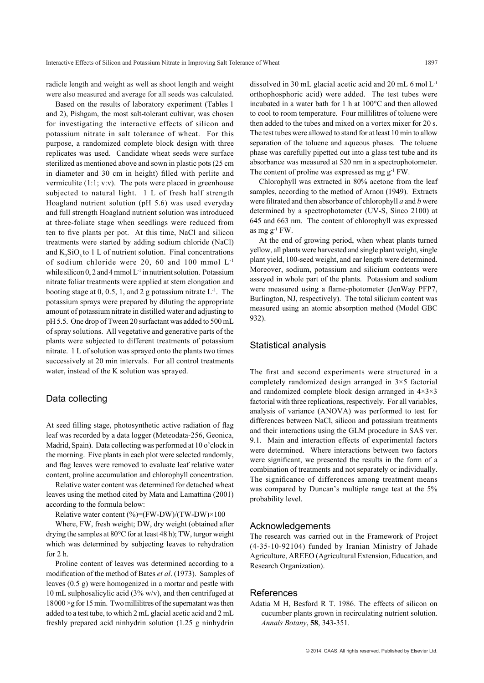radicle length and weight as well as shoot length and weight were also measured and average for all seeds was calculated.

Based on the results of laboratory experiment (Tables 1 and 2), Pishgam, the most salt-tolerant cultivar, was chosen for investigating the interactive effects of silicon and potassium nitrate in salt tolerance of wheat. For this purpose, a randomized complete block design with three replicates was used. Candidate wheat seeds were surface sterilized as mentioned above and sown in plastic pots (25 cm in diameter and 30 cm in height) filled with perlite and vermiculite (1:1; v:v). The pots were placed in greenhouse subjected to natural light. 1 L of fresh half strength Hoagland nutrient solution (pH 5.6) was used everyday and full strength Hoagland nutrient solution was introduced at three-foliate stage when seedlings were reduced from ten to five plants per pot. At this time, NaCl and silicon treatments were started by adding sodium chloride (NaCl) and  $K_2SiO_3$  to 1 L of nutrient solution. Final concentrations of sodium chloride were 20, 60 and 100 mmol L-1 while silicon 0, 2 and 4 mmol  $L^{-1}$  in nutrient solution. Potassium nitrate foliar treatments were applied at stem elongation and booting stage at 0, 0.5, 1, and 2 g potassium nitrate  $L^{-1}$ . The potassium sprays were prepared by diluting the appropriate amount of potassium nitrate in distilled water and adjusting to pH 5.5. One drop of Tween 20 surfactant was added to 500 mL of spray solutions. All vegetative and generative parts of the plants were subjected to different treatments of potassium nitrate. 1 L of solution was sprayed onto the plants two times successively at 20 min intervals. For all control treatments water, instead of the K solution was sprayed.

#### Data collecting

At seed filling stage, photosynthetic active radiation of flag leaf was recorded by a data logger (Meteodata-256, Geonica, Madrid, Spain). Data collecting was performed at 10 o'clock in the morning. Five plants in each plot were selected randomly, and flag leaves were removed to evaluate leaf relative water content, proline accumulation and chlorophyll concentration.

Relative water content was determined for detached wheat leaves using the method cited by Mata and Lamattina (2001) according to the formula below:

Relative water content  $\frac{9}{6}$ =(FW-DW)/(TW-DW)×100

Where, FW, fresh weight; DW, dry weight (obtained after drying the samples at 80°C for at least 48 h); TW, turgor weight which was determined by subjecting leaves to rehydration for 2 h.

Proline content of leaves was determined according to a modification of the method of Bates *et al*. (1973). Samples of leaves (0.5 g) were homogenized in a mortar and pestle with 10 mL sulphosalicylic acid (3% w/v), and then centrifuged at  $18000 \times g$  for 15 min. Two millilitres of the supernatant was then added to a test tube, to which 2 mL glacial acetic acid and 2 mL freshly prepared acid ninhydrin solution (1.25 g ninhydrin

dissolved in 30 mL glacial acetic acid and 20 mL 6 mol L-1 orthophosphoric acid) were added. The test tubes were incubated in a water bath for 1 h at 100°C and then allowed to cool to room temperature. Four millilitres of toluene were then added to the tubes and mixed on a vortex mixer for 20 s. The test tubes were allowed to stand for at least 10 min to allow separation of the toluene and aqueous phases. The toluene phase was carefully pipetted out into a glass test tube and its absorbance was measured at 520 nm in a spectrophotometer. The content of proline was expressed as mg  $g^{-1}$  FW.

Chlorophyll was extracted in 80% acetone from the leaf samples, according to the method of Arnon (1949). Extracts were filtrated and then absorbance of chlorophyll *a* and *b* were determined by a spectrophotometer (UV-S, Sinco 2100) at 645 and 663 nm. The content of chlorophyll was expressed as mg  $g^{-1}$  FW.

At the end of growing period, when wheat plants turned yellow, all plants were harvested and single plant weight, single plant yield, 100-seed weight, and ear length were determined. Moreover, sodium, potassium and silicium contents were assayed in whole part of the plants. Potassium and sodium were measured using a flame-photometer (JenWay PFP7, Burlington, NJ, respectively). The total silicium content was measured using an atomic absorption method (Model GBC 932).

#### Statistical analysis

The first and second experiments were structured in a completely randomized design arranged in 3×5 factorial and randomized complete block design arranged in 4×3×3 factorial with three replications, respectively. For all variables, analysis of variance (ANOVA) was performed to test for differences between NaCl, silicon and potassium treatments and their interactions using the GLM procedure in SAS ver. 9.1. Main and interaction effects of experimental factors were determined. Where interactions between two factors were significant, we presented the results in the form of a combination of treatments and not separately or individually. The significance of differences among treatment means was compared by Duncan's multiple range teat at the 5% probability level.

#### Acknowledgements

The research was carried out in the Framework of Project (4-35-10-92104) funded by Iranian Ministry of Jahade Agriculture, AREEO (Agricultural Extension, Education, and Research Organization).

#### References

Adatia M H, Besford R T. 1986. The effects of silicon on cucumber plants grown in recirculating nutrient solution. *Annals Botany*, **58**, 343-351.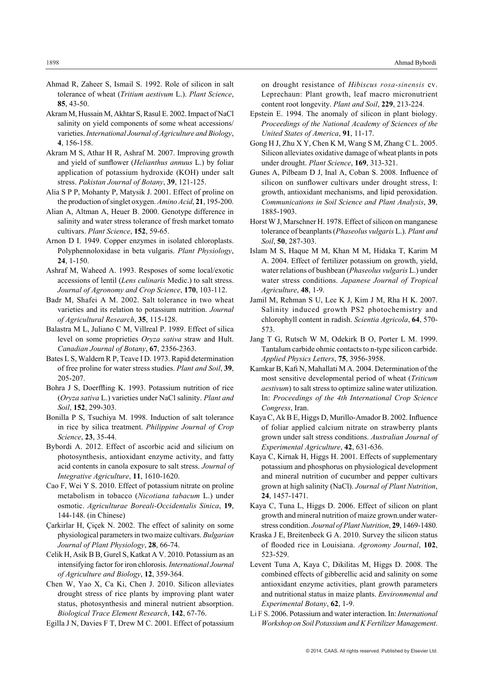- Ahmad R, Zaheer S, Ismail S. 1992. Role of silicon in salt tolerance of wheat (*Tritium aestivum* L.). *Plant Science*, **85**, 43-50.
- Akram M, Hussain M, Akhtar S, Rasul E. 2002. Impact of NaCl salinity on yield components of some wheat accessions/ varieties. *International Journal of Agriculture and Biology*, **4**, 156-158.
- Akram M S, Athar H R, Ashraf M. 2007. Improving growth and yield of sunflower (*Helianthus annuus* L.) by foliar application of potassium hydroxide (KOH) under salt stress. *Pakistan Journal of Botany*, **39**, 121-125.
- Alia S P P, Mohanty P, Matysik J. 2001. Effect of proline on the production of singlet oxygen. *Amino Acid*, **21**, 195-200.
- Alian A, Altman A, Heuer B. 2000. Genotype difference in salinity and water stress tolerance of fresh market tomato cultivars. *Plant Science*, **152**, 59-65.
- Arnon D I. 1949. Copper enzymes in isolated chloroplasts. Polyphennoloxidase in beta vulgaris. *Plant Physiology*, **24**, 1-150.
- Ashraf M, Waheed A. 1993. Resposes of some local/exotic accessions of lentil (*Lens culinaris* Medic.) to salt stress. *Journal of Agronomy and Crop Science*, **170**, 103-112.
- Badr M, Shafei A M. 2002. Salt tolerance in two wheat varieties and its relation to potassium nutrition. *Journal of Agricultural Research*, **35**, 115-128.
- Balastra M L, Juliano C M, Villreal P. 1989. Effect of silica level on some proprieties *Oryza sativa* straw and Hult. *Canadian Journal of Botany*, **67**, 2356-2363.
- Bates L S, Waldern R P, Teave I D. 1973. Rapid determination of free proline for water stress studies. *Plant and Soil*, **39**, 205-207.
- Bohra J S, Doerffling K. 1993. Potassium nutrition of rice (*Oryza sativa* L.) varieties under NaCl salinity. *Plant and Soil*, **152**, 299-303.
- Bonilla P S, Tsuchiya M. 1998. Induction of salt tolerance in rice by silica treatment. *Philippine Journal of Crop Science*, **23**, 35-44.
- Bybordi A. 2012. Effect of ascorbic acid and silicium on photosynthesis, antioxidant enzyme activity, and fatty acid contents in canola exposure to salt stress. *Journal of Integrative Agriculture*, **11**, 1610-1620.
- Cao F, Wei Y S. 2010. Effect of potassium nitrate on proline metabolism in tobacco (*Nicotiana tabacum* L.) under osmotic. *Agriculturae Boreali-Occidentalis Sinica*, **19**, 144-148. (in Chinese)
- Çarkirlar H, Çiçek N. 2002. The effect of salinity on some physiological parameters in two maize cultivars. *Bulgarian Journal of Plant Physiology*, **28**, 66-74.
- Celik H, Asik B B, Gurel S, Katkat A V. 2010. Potassium as an intensifying factor for iron chlorosis. *International Journal of Agriculture and Biology*, **12**, 359-364.
- Chen W, Yao X, Ca Ki, Chen J. 2010. Silicon alleviates drought stress of rice plants by improving plant water status, photosynthesis and mineral nutrient absorption. *Biological Trace Element Research*, **142**, 67-76.
- Egilla J N, Davies F T, Drew M C. 2001. Effect of potassium

on drought resistance of *Hibiscus rosa*-*sinensis* cv. Leprechaun: Plant growth, leaf macro micronutrient content root longevity. *Plant and Soil*, **229**, 213-224.

- Epstein E. 1994. The anomaly of silicon in plant biology. *Proceedings of the National Academy of Sciences of the United States of America*, **91**, 11-17.
- Gong H J, Zhu X Y, Chen K M, Wang S M, Zhang C L. 2005. Silicon alleviates oxidative damage of wheat plants in pots under drought. *Plant Science*, **169**, 313-321.
- Gunes A, Pilbeam D J, Inal A, Coban S. 2008. Influence of silicon on sunflower cultivars under drought stress, I: growth, antioxidant mechanisms, and lipid peroxidation. *Communications in Soil Science and Plant Analysis*, **39**, 1885-1903.
- Horst W J, Marschner H. 1978. Effect of silicon on manganese tolerance of beanplants (*Phaseolus vulgaris* L.). *Plant and Soil*, **50**, 287-303.
- Islam M S, Haque M M, Khan M M, Hidaka T, Karim M A. 2004. Effect of fertilizer potassium on growth, yield, water relations of bushbean (*Phaseolus vulgaris* L.) under water stress conditions. *Japanese Journal of Tropical Agriculture*, **48**, 1-9.
- Jamil M, Rehman S U, Lee K J, Kim J M, Rha H K. 2007. Salinity induced growth PS2 photochemistry and chlorophyll content in radish. *Scientia Agricola*, **64**, 570- 573.
- Jang T G, Rutsch W M, Odekirk B O, Porter L M. 1999. Tantalum carbide ohmic contacts to n-type silicon carbide. *Applied Physics Letters*, **75**, 3956-3958.
- Kamkar B, Kafi N, Mahallati M A. 2004. Determination of the most sensitive developmental period of wheat (*Triticum aestivum*) to salt stress to optimize saline water utilization. In: *Proceedings of the 4th International Crop Science Congress*, Iran.
- Kaya C, Ak B E, Higgs D, Murillo-Amador B. 2002. Influence of foliar applied calcium nitrate on strawberry plants grown under salt stress conditions. *Australian Journal of Experimental Agriculture*, **42**, 631-636.
- Kaya C, Kirnak H, Higgs H. 2001. Effects of supplementary potassium and phosphorus on physiological development and mineral nutrition of cucumber and pepper cultivars grown at high salinity (NaCl). *Journal of Plant Nutrition*, **24**, 1457-1471.
- Kaya C, Tuna L, Higgs D. 2006. Effect of silicon on plant growth and mineral nutrition of maize grown.under waterstress condition. *Journal of Plant Nutrition*, **29**, 1469-1480.
- Kraska J E, Breitenbeck G A. 2010. Survey the silicon status of flooded rice in Louisiana. *Agronomy Journal*, **102**, 523-529.
- Levent Tuna A, Kaya C, Dikilitas M, Higgs D. 2008. The combined effects of gibberellic acid and salinity on some antioxidant enzyme activities, plant growth parameters and nutritional status in maize plants. *Environmental and Experimental Botany*, **62**, 1-9.
- Li F S. 2006. Potassium and water interaction. In: *International Workshop on Soil Potassium and K Fertilizer Management*.